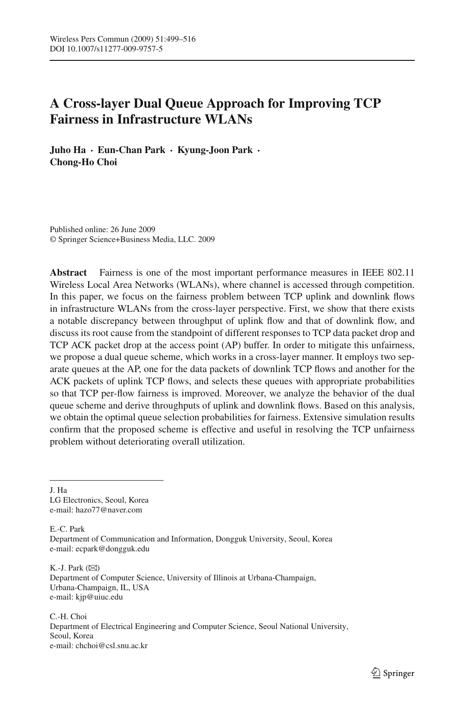# **A Cross-layer Dual Queue Approach for Improving TCP Fairness in Infrastructure WLANs**

**Juho Ha · Eun-Chan Park · Kyung-Joon Park · Chong-Ho Choi**

Published online: 26 June 2009 © Springer Science+Business Media, LLC. 2009

**Abstract** Fairness is one of the most important performance measures in IEEE 802.11 Wireless Local Area Networks (WLANs), where channel is accessed through competition. In this paper, we focus on the fairness problem between TCP uplink and downlink flows in infrastructure WLANs from the cross-layer perspective. First, we show that there exists a notable discrepancy between throughput of uplink flow and that of downlink flow, and discuss its root cause from the standpoint of different responses to TCP data packet drop and TCP ACK packet drop at the access point (AP) buffer. In order to mitigate this unfairness, we propose a dual queue scheme, which works in a cross-layer manner. It employs two separate queues at the AP, one for the data packets of downlink TCP flows and another for the ACK packets of uplink TCP flows, and selects these queues with appropriate probabilities so that TCP per-flow fairness is improved. Moreover, we analyze the behavior of the dual queue scheme and derive throughputs of uplink and downlink flows. Based on this analysis, we obtain the optimal queue selection probabilities for fairness. Extensive simulation results confirm that the proposed scheme is effective and useful in resolving the TCP unfairness problem without deteriorating overall utilization.

J. Ha LG Electronics, Seoul, Korea e-mail: hazo77@naver.com

E.-C. Park Department of Communication and Information, Dongguk University, Seoul, Korea e-mail: ecpark@dongguk.edu

K.-J. Park  $(\boxtimes)$ Department of Computer Science, University of Illinois at Urbana-Champaign, Urbana-Champaign, IL, USA e-mail: kjp@uiuc.edu

C.-H. Choi Department of Electrical Engineering and Computer Science, Seoul National University, Seoul, Korea e-mail: chchoi@csl.snu.ac.kr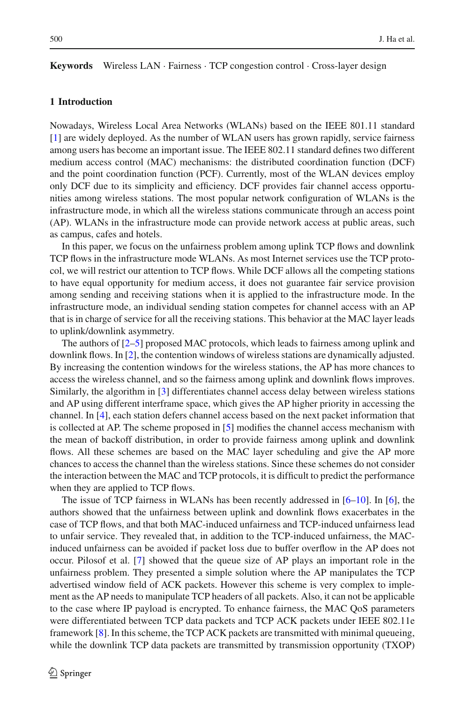#### **Keywords** Wireless LAN · Fairness · TCP congestion control · Cross-layer design

## **1 Introduction**

Nowadays, Wireless Local Area Networks (WLANs) based on the IEEE 801.11 standard [\[1](#page-15-0)] are widely deployed. As the number of WLAN users has grown rapidly, service fairness among users has become an important issue. The IEEE 802.11 standard defines two different medium access control (MAC) mechanisms: the distributed coordination function (DCF) and the point coordination function (PCF). Currently, most of the WLAN devices employ only DCF due to its simplicity and efficiency. DCF provides fair channel access opportunities among wireless stations. The most popular network configuration of WLANs is the infrastructure mode, in which all the wireless stations communicate through an access point (AP). WLANs in the infrastructure mode can provide network access at public areas, such as campus, cafes and hotels.

In this paper, we focus on the unfairness problem among uplink TCP flows and downlink TCP flows in the infrastructure mode WLANs. As most Internet services use the TCP protocol, we will restrict our attention to TCP flows. While DCF allows all the competing stations to have equal opportunity for medium access, it does not guarantee fair service provision among sending and receiving stations when it is applied to the infrastructure mode. In the infrastructure mode, an individual sending station competes for channel access with an AP that is in charge of service for all the receiving stations. This behavior at the MAC layer leads to uplink/downlink asymmetry.

The authors of [\[2](#page-15-1)[–5\]](#page-16-0) proposed MAC protocols, which leads to fairness among uplink and downlink flows. In [\[2](#page-15-1)], the contention windows of wireless stations are dynamically adjusted. By increasing the contention windows for the wireless stations, the AP has more chances to access the wireless channel, and so the fairness among uplink and downlink flows improves. Similarly, the algorithm in [\[3](#page-16-1)] differentiates channel access delay between wireless stations and AP using different interframe space, which gives the AP higher priority in accessing the channel. In [\[4](#page-16-2)], each station defers channel access based on the next packet information that is collected at AP. The scheme proposed in [\[5\]](#page-16-0) modifies the channel access mechanism with the mean of backoff distribution, in order to provide fairness among uplink and downlink flows. All these schemes are based on the MAC layer scheduling and give the AP more chances to access the channel than the wireless stations. Since these schemes do not consider the interaction between the MAC and TCP protocols, it is difficult to predict the performance when they are applied to TCP flows.

The issue of TCP fairness in WLANs has been recently addressed in  $[6-10]$  $[6-10]$ . In  $[6]$ , the authors showed that the unfairness between uplink and downlink flows exacerbates in the case of TCP flows, and that both MAC-induced unfairness and TCP-induced unfairness lead to unfair service. They revealed that, in addition to the TCP-induced unfairness, the MACinduced unfairness can be avoided if packet loss due to buffer overflow in the AP does not occur. Pilosof et al. [\[7](#page-16-5)] showed that the queue size of AP plays an important role in the unfairness problem. They presented a simple solution where the AP manipulates the TCP advertised window field of ACK packets. However this scheme is very complex to implement as the AP needs to manipulate TCP headers of all packets. Also, it can not be applicable to the case where IP payload is encrypted. To enhance fairness, the MAC QoS parameters were differentiated between TCP data packets and TCP ACK packets under IEEE 802.11e framework [\[8](#page-16-6)]. In this scheme, the TCP ACK packets are transmitted with minimal queueing, while the downlink TCP data packets are transmitted by transmission opportunity (TXOP)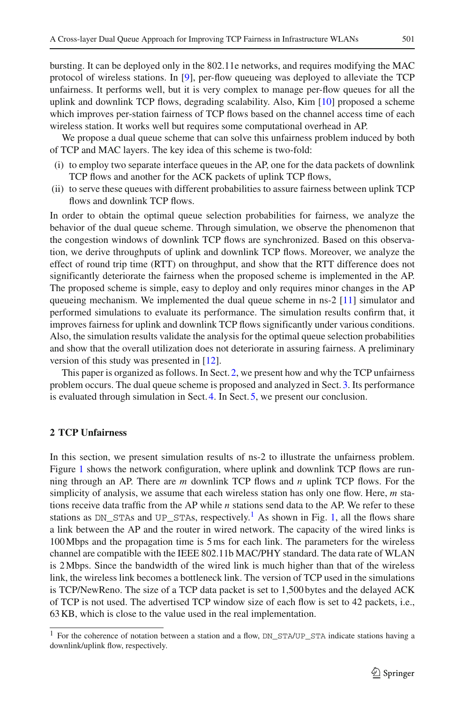bursting. It can be deployed only in the 802.11e networks, and requires modifying the MAC protocol of wireless stations. In [\[9\]](#page-16-7), per-flow queueing was deployed to alleviate the TCP unfairness. It performs well, but it is very complex to manage per-flow queues for all the uplink and downlink TCP flows, degrading scalability. Also, Kim [\[10](#page-16-4)] proposed a scheme which improves per-station fairness of TCP flows based on the channel access time of each wireless station. It works well but requires some computational overhead in AP.

We propose a dual queue scheme that can solve this unfairness problem induced by both of TCP and MAC layers. The key idea of this scheme is two-fold:

- (i) to employ two separate interface queues in the AP, one for the data packets of downlink TCP flows and another for the ACK packets of uplink TCP flows,
- (ii) to serve these queues with different probabilities to assure fairness between uplink TCP flows and downlink TCP flows.

In order to obtain the optimal queue selection probabilities for fairness, we analyze the behavior of the dual queue scheme. Through simulation, we observe the phenomenon that the congestion windows of downlink TCP flows are synchronized. Based on this observation, we derive throughputs of uplink and downlink TCP flows. Moreover, we analyze the effect of round trip time (RTT) on throughput, and show that the RTT difference does not significantly deteriorate the fairness when the proposed scheme is implemented in the AP. The proposed scheme is simple, easy to deploy and only requires minor changes in the AP queueing mechanism. We implemented the dual queue scheme in ns-2 [\[11](#page-16-8)] simulator and performed simulations to evaluate its performance. The simulation results confirm that, it improves fairness for uplink and downlink TCP flows significantly under various conditions. Also, the simulation results validate the analysis for the optimal queue selection probabilities and show that the overall utilization does not deteriorate in assuring fairness. A preliminary version of this study was presented in [\[12](#page-16-9)].

This paper is organized as follows. In Sect. [2,](#page-2-0) we present how and why the TCP unfairness problem occurs. The dual queue scheme is proposed and analyzed in Sect. [3.](#page-4-0) Its performance is evaluated through simulation in Sect. [4.](#page-11-0) In Sect. [5,](#page-15-2) we present our conclusion.

#### <span id="page-2-0"></span>**2 TCP Unfairness**

In this section, we present simulation results of ns-2 to illustrate the unfairness problem. Figure [1](#page-3-0) shows the network configuration, where uplink and downlink TCP flows are running through an AP. There are *m* downlink TCP flows and *n* uplink TCP flows. For the simplicity of analysis, we assume that each wireless station has only one flow. Here, *m* stations receive data traffic from the AP while *n* stations send data to the AP. We refer to these stations as DN\_STAs and UP\_STAs, respectively.<sup>[1](#page-2-1)</sup> As shown in Fig. [1,](#page-3-0) all the flows share a link between the AP and the router in wired network. The capacity of the wired links is 100Mbps and the propagation time is 5ms for each link. The parameters for the wireless channel are compatible with the IEEE 802.11b MAC/PHY standard. The data rate of WLAN is 2Mbps. Since the bandwidth of the wired link is much higher than that of the wireless link, the wireless link becomes a bottleneck link. The version of TCP used in the simulations is TCP/NewReno. The size of a TCP data packet is set to 1,500 bytes and the delayed ACK of TCP is not used. The advertised TCP window size of each flow is set to 42 packets, i.e., 63 KB, which is close to the value used in the real implementation.

<span id="page-2-1"></span><sup>&</sup>lt;sup>1</sup> For the coherence of notation between a station and a flow,  $DN\_STA/UP\_STA$  indicate stations having a downlink/uplink flow, respectively.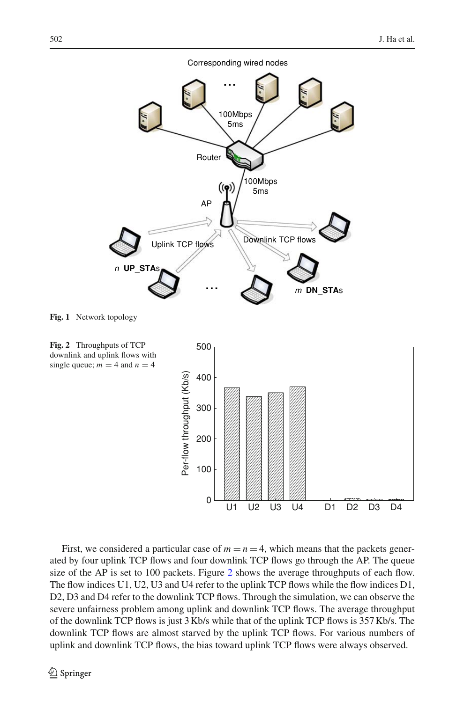

<span id="page-3-0"></span>**Fig. 1** Network topology

<span id="page-3-1"></span>

First, we considered a particular case of  $m = n = 4$ , which means that the packets generated by four uplink TCP flows and four downlink TCP flows go through the AP. The queue size of the AP is set to 100 packets. Figure [2](#page-3-1) shows the average throughputs of each flow. The flow indices U1, U2, U3 and U4 refer to the uplink TCP flows while the flow indices D1, D2, D3 and D4 refer to the downlink TCP flows. Through the simulation, we can observe the severe unfairness problem among uplink and downlink TCP flows. The average throughput of the downlink TCP flows is just 3 Kb/s while that of the uplink TCP flows is 357 Kb/s. The downlink TCP flows are almost starved by the uplink TCP flows. For various numbers of uplink and downlink TCP flows, the bias toward uplink TCP flows were always observed.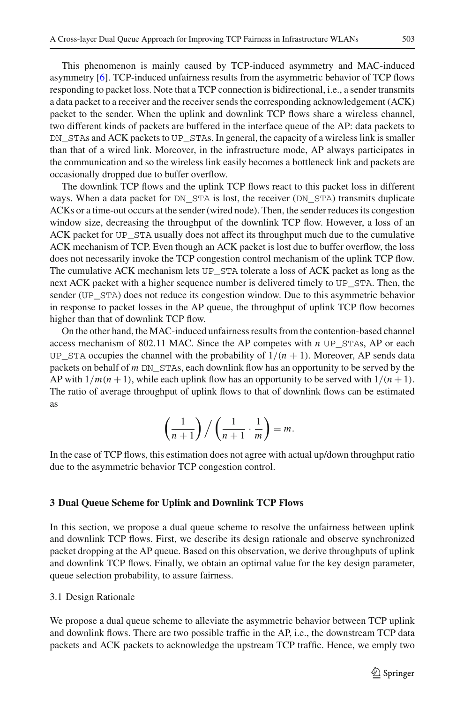This phenomenon is mainly caused by TCP-induced asymmetry and MAC-induced asymmetry [\[6](#page-16-3)]. TCP-induced unfairness results from the asymmetric behavior of TCP flows responding to packet loss. Note that a TCP connection is bidirectional, i.e., a sender transmits a data packet to a receiver and the receiver sends the corresponding acknowledgement (ACK) packet to the sender. When the uplink and downlink TCP flows share a wireless channel, two different kinds of packets are buffered in the interface queue of the AP: data packets to DN\_STAs and ACK packets to UP\_STAs. In general, the capacity of a wireless link is smaller than that of a wired link. Moreover, in the infrastructure mode, AP always participates in the communication and so the wireless link easily becomes a bottleneck link and packets are occasionally dropped due to buffer overflow.

The downlink TCP flows and the uplink TCP flows react to this packet loss in different ways. When a data packet for DN\_STA is lost, the receiver (DN\_STA) transmits duplicate ACKs or a time-out occurs at the sender (wired node). Then, the sender reduces its congestion window size, decreasing the throughput of the downlink TCP flow. However, a loss of an ACK packet for UP\_STA usually does not affect its throughput much due to the cumulative ACK mechanism of TCP. Even though an ACK packet is lost due to buffer overflow, the loss does not necessarily invoke the TCP congestion control mechanism of the uplink TCP flow. The cumulative ACK mechanism lets UP\_STA tolerate a loss of ACK packet as long as the next ACK packet with a higher sequence number is delivered timely to UP\_STA. Then, the sender (UP\_STA) does not reduce its congestion window. Due to this asymmetric behavior in response to packet losses in the AP queue, the throughput of uplink TCP flow becomes higher than that of downlink TCP flow.

On the other hand, the MAC-induced unfairness results from the contention-based channel access mechanism of 802.11 MAC. Since the AP competes with *n* UP\_STAs, AP or each UP\_STA occupies the channel with the probability of  $1/(n + 1)$ . Moreover, AP sends data packets on behalf of *m* DN\_STAs, each downlink flow has an opportunity to be served by the AP with  $1/m(n+1)$ , while each uplink flow has an opportunity to be served with  $1/(n+1)$ . The ratio of average throughput of uplink flows to that of downlink flows can be estimated as

$$
\left(\frac{1}{n+1}\right) / \left(\frac{1}{n+1} \cdot \frac{1}{m}\right) = m.
$$

In the case of TCP flows, this estimation does not agree with actual up/down throughput ratio due to the asymmetric behavior TCP congestion control.

#### <span id="page-4-0"></span>**3 Dual Queue Scheme for Uplink and Downlink TCP Flows**

In this section, we propose a dual queue scheme to resolve the unfairness between uplink and downlink TCP flows. First, we describe its design rationale and observe synchronized packet dropping at the AP queue. Based on this observation, we derive throughputs of uplink and downlink TCP flows. Finally, we obtain an optimal value for the key design parameter, queue selection probability, to assure fairness.

#### 3.1 Design Rationale

We propose a dual queue scheme to alleviate the asymmetric behavior between TCP uplink and downlink flows. There are two possible traffic in the AP, i.e., the downstream TCP data packets and ACK packets to acknowledge the upstream TCP traffic. Hence, we emply two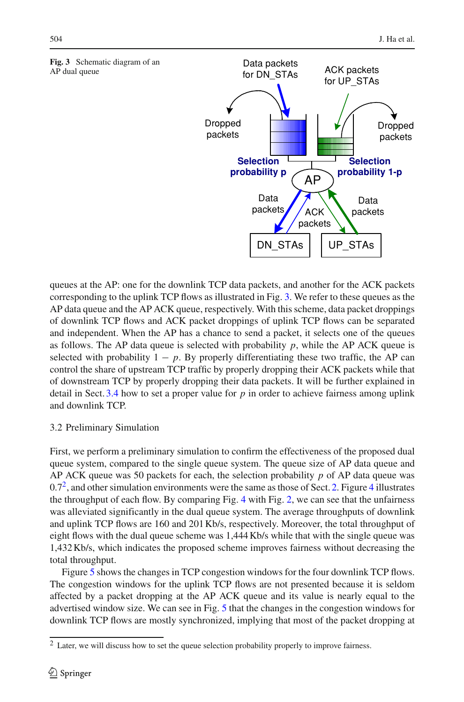<span id="page-5-0"></span>

queues at the AP: one for the downlink TCP data packets, and another for the ACK packets corresponding to the uplink TCP flows as illustrated in Fig. [3.](#page-5-0) We refer to these queues as the AP data queue and the AP ACK queue, respectively. With this scheme, data packet droppings of downlink TCP flows and ACK packet droppings of uplink TCP flows can be separated and independent. When the AP has a chance to send a packet, it selects one of the queues as follows. The AP data queue is selected with probability  $p$ , while the AP ACK queue is selected with probability  $1 - p$ . By properly differentiating these two traffic, the AP can control the share of upstream TCP traffic by properly dropping their ACK packets while that of downstream TCP by properly dropping their data packets. It will be further explained in detail in Sect. [3.4](#page-9-0) how to set a proper value for  $p$  in order to achieve fairness among uplink and downlink TCP.

# 3.2 Preliminary Simulation

First, we perform a preliminary simulation to confirm the effectiveness of the proposed dual queue system, compared to the single queue system. The queue size of AP data queue and AP ACK queue was 50 packets for each, the selection probability *p* of AP data queue was  $0.7<sup>2</sup>$ , and other simulation environments were the same as those of Sect. [2.](#page-2-0) Figure [4](#page-6-0) illustrates the throughput of each flow. By comparing Fig. [4](#page-6-0) with Fig. [2,](#page-3-1) we can see that the unfairness was alleviated significantly in the dual queue system. The average throughputs of downlink and uplink TCP flows are 160 and 201 Kb/s, respectively. Moreover, the total throughput of eight flows with the dual queue scheme was 1,444 Kb/s while that with the single queue was 1,432 Kb/s, which indicates the proposed scheme improves fairness without decreasing the total throughput.

Figure [5](#page-6-1) shows the changes in TCP congestion windows for the four downlink TCP flows. The congestion windows for the uplink TCP flows are not presented because it is seldom affected by a packet dropping at the AP ACK queue and its value is nearly equal to the advertised window size. We can see in Fig. [5](#page-6-1) that the changes in the congestion windows for downlink TCP flows are mostly synchronized, implying that most of the packet dropping at

<span id="page-5-1"></span><sup>2</sup> Later, we will discuss how to set the queue selection probability properly to improve fairness.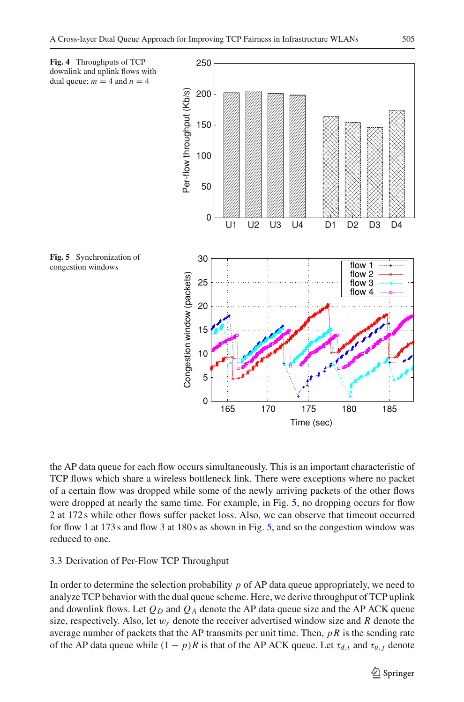<span id="page-6-0"></span>

<span id="page-6-1"></span>the AP data queue for each flow occurs simultaneously. This is an important characteristic of TCP flows which share a wireless bottleneck link. There were exceptions where no packet of a certain flow was dropped while some of the newly arriving packets of the other flows were dropped at nearly the same time. For example, in Fig. [5,](#page-6-1) no dropping occurs for flow 2 at 172 s while other flows suffer packet loss. Also, we can observe that timeout occurred for flow 1 at 173 s and flow 3 at 180 s as shown in Fig. [5,](#page-6-1) and so the congestion window was reduced to one.

## 3.3 Derivation of Per-Flow TCP Throughput

In order to determine the selection probability *p* of AP data queue appropriately, we need to analyze TCP behavior with the dual queue scheme. Here, we derive throughput of TCP uplink and downlink flows. Let  $Q_D$  and  $Q_A$  denote the AP data queue size and the AP ACK queue size, respectively. Also, let  $w_r$  denote the receiver advertised window size and  $R$  denote the average number of packets that the AP transmits per unit time. Then, *pR* is the sending rate of the AP data queue while  $(1 - p)R$  is that of the AP ACK queue. Let  $\tau_{d,i}$  and  $\tau_{u,i}$  denote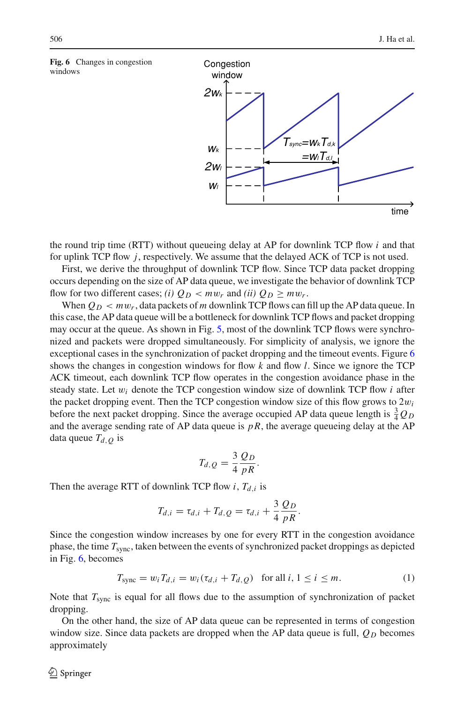<span id="page-7-0"></span>



the round trip time (RTT) without queueing delay at AP for downlink TCP flow *i* and that for uplink TCP flow *j*, respectively. We assume that the delayed ACK of TCP is not used.

First, we derive the throughput of downlink TCP flow. Since TCP data packet dropping occurs depending on the size of AP data queue, we investigate the behavior of downlink TCP flow for two different cases; *(i)*  $Q_D < m w_r$  and *(ii)*  $Q_D \geq m w_r$ .

When  $Q_D < m w_r$ , data packets of *m* downlink TCP flows can fill up the AP data queue. In this case, the AP data queue will be a bottleneck for downlink TCP flows and packet dropping may occur at the queue. As shown in Fig. [5,](#page-6-1) most of the downlink TCP flows were synchronized and packets were dropped simultaneously. For simplicity of analysis, we ignore the exceptional cases in the synchronization of packet dropping and the timeout events. Figure [6](#page-7-0) shows the changes in congestion windows for flow *k* and flow *l*. Since we ignore the TCP ACK timeout, each downlink TCP flow operates in the congestion avoidance phase in the steady state. Let  $w_i$  denote the TCP congestion window size of downlink TCP flow  $i$  after the packet dropping event. Then the TCP congestion window size of this flow grows to  $2w_i$ before the next packet dropping. Since the average occupied AP data queue length is  $\frac{3}{4}Q_D$ and the average sending rate of AP data queue is  $pR$ , the average queueing delay at the AP data queue  $T_{d, O}$  is

$$
T_{d,Q}=\frac{3}{4}\frac{Q_D}{pR}.
$$

Then the average RTT of downlink TCP flow  $i$ ,  $T_{d,i}$  is

$$
T_{d,i} = \tau_{d,i} + T_{d,Q} = \tau_{d,i} + \frac{3}{4} \frac{Q_D}{pR}.
$$

Since the congestion window increases by one for every RTT in the congestion avoidance phase, the time *T*sync, taken between the events of synchronized packet droppings as depicted in Fig. [6,](#page-7-0) becomes

$$
T_{\text{sync}} = w_i T_{d,i} = w_i (\tau_{d,i} + T_{d,Q}) \quad \text{for all } i, 1 \le i \le m. \tag{1}
$$

<span id="page-7-1"></span>Note that  $T_{\text{sync}}$  is equal for all flows due to the assumption of synchronization of packet dropping.

On the other hand, the size of AP data queue can be represented in terms of congestion window size. Since data packets are dropped when the AP data queue is full,  $Q_D$  becomes approximately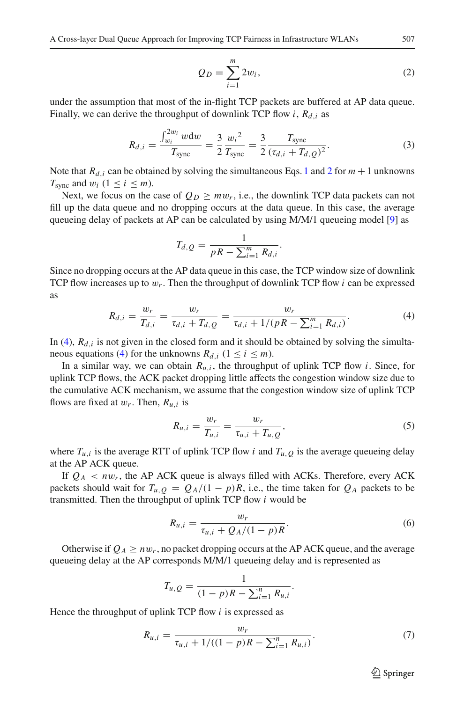$$
Q_D = \sum_{i=1}^{m} 2w_i,
$$
\n<sup>(2)</sup>

under the assumption that most of the in-flight TCP packets are buffered at AP data queue. Finally, we can derive the throughput of downlink TCP flow  $i$ ,  $R_{d,i}$  as

<span id="page-8-0"></span>
$$
R_{d,i} = \frac{\int_{w_i}^{2w_i} w dw}{T_{\text{sync}}} = \frac{3}{2} \frac{{w_i}^2}{T_{\text{sync}}} = \frac{3}{2} \frac{T_{\text{sync}}}{(\tau_{d,i} + T_{d,Q})^2}.
$$
 (3)

.

<span id="page-8-2"></span>Note that  $R_{d,i}$  can be obtained by solving the simultaneous Eqs. [1](#page-7-1) and [2](#page-8-0) for  $m + 1$  unknowns *T*<sub>sync</sub> and  $w_i$  (1  $\leq i \leq m$ ).

Next, we focus on the case of  $Q_D \geq m w_r$ , i.e., the downlink TCP data packets can not fill up the data queue and no dropping occurs at the data queue. In this case, the average queueing delay of packets at AP can be calculated by using M/M/1 queueing model [\[9](#page-16-7)] as

$$
T_{d,Q} = \frac{1}{pR - \sum_{i=1}^{m} R_{d,i}}
$$

Since no dropping occurs at the AP data queue in this case, the TCP window size of downlink TCP flow increases up to w*r*. Then the throughput of downlink TCP flow *i* can be expressed as

$$
R_{d,i} = \frac{w_r}{T_{d,i}} = \frac{w_r}{\tau_{d,i} + T_{d,Q}} = \frac{w_r}{\tau_{d,i} + 1/(pR - \sum_{i=1}^m R_{d,i})}.
$$
(4)

<span id="page-8-1"></span>In  $(4)$ ,  $R_{d,i}$  is not given in the closed form and it should be obtained by solving the simulta-neous equations [\(4\)](#page-8-1) for the unknowns  $R_{d,i}$  (1  $\leq i \leq m$ ).

In a similar way, we can obtain  $R_{u,i}$ , the throughput of uplink TCP flow *i*. Since, for uplink TCP flows, the ACK packet dropping little affects the congestion window size due to the cumulative ACK mechanism, we assume that the congestion window size of uplink TCP flows are fixed at  $w_r$ . Then,  $R_{u,i}$  is

$$
R_{u,i} = \frac{w_r}{T_{u,i}} = \frac{w_r}{\tau_{u,i} + T_{u,Q}},
$$
\n(5)

<span id="page-8-5"></span>where  $T_{u,i}$  is the average RTT of uplink TCP flow *i* and  $T_{u, Q}$  is the average queueing delay at the AP ACK queue.

If  $Q_A$  <  $nw_r$ , the AP ACK queue is always filled with ACKs. Therefore, every ACK packets should wait for  $T_{u, Q} = Q_A/(1 - p)R$ , i.e., the time taken for  $Q_A$  packets to be transmitted. Then the throughput of uplink TCP flow *i* would be

$$
R_{u,i} = \frac{w_r}{\tau_{u,i} + Q_A/(1-p)R}.
$$
 (6)

<span id="page-8-3"></span>Otherwise if  $Q_A \geq nv_r$ , no packet dropping occurs at the AP ACK queue, and the average queueing delay at the AP corresponds M/M/1 queueing delay and is represented as

$$
T_{u,Q} = \frac{1}{(1-p)R - \sum_{i=1}^{n} R_{u,i}}.
$$

<span id="page-8-4"></span>Hence the throughput of uplink TCP flow *i* is expressed as

$$
R_{u,i} = \frac{w_r}{\tau_{u,i} + 1/((1-p)R - \sum_{i=1}^{n} R_{u,i})}.
$$
\n(7)

 $\circled{2}$  Springer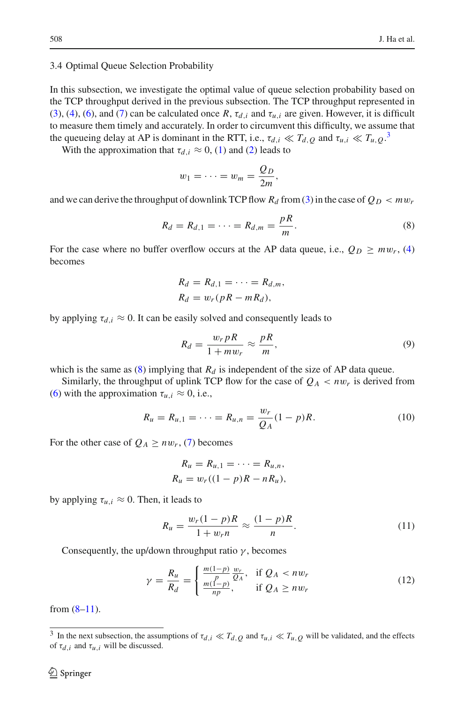#### <span id="page-9-0"></span>3.4 Optimal Queue Selection Probability

In this subsection, we investigate the optimal value of queue selection probability based on the TCP throughput derived in the previous subsection. The TCP throughput represented in [\(3\)](#page-8-2), [\(4\)](#page-8-1), [\(6\)](#page-8-3), and [\(7\)](#page-8-4) can be calculated once  $R$ ,  $\tau_{d,i}$  and  $\tau_{u,i}$  are given. However, it is difficult to measure them timely and accurately. In order to circumvent this difficulty, we assume that the queueing delay at AP is dominant in the RTT, i.e.,  $\tau_{d,i} \ll T_{d,Q}$  and  $\tau_{u,i} \ll T_{u,Q}$ .<sup>[3](#page-9-1)</sup>

With the approximation that  $\tau_{d,i} \approx 0$ , [\(1\)](#page-7-1) and [\(2\)](#page-8-0) leads to

$$
w_1=\cdots=w_m=\frac{Q_D}{2m},
$$

<span id="page-9-2"></span>and we can derive the throughput of downlink TCP flow  $R_d$  from [\(3\)](#page-8-2) in the case of  $Q_D < m w_r$ 

$$
R_d = R_{d,1} = \dots = R_{d,m} = \frac{pR}{m}.
$$
\n(8)

For the case where no buffer overflow occurs at the AP data queue, i.e.,  $Q_D \geq m w_r$ , [\(4\)](#page-8-1) becomes

$$
R_d = R_{d,1} = \cdots = R_{d,m},
$$
  

$$
R_d = w_r (pR - mR_d),
$$

by applying  $\tau_{d,i} \approx 0$ . It can be easily solved and consequently leads to

$$
R_d = \frac{w_r pR}{1 + m w_r} \approx \frac{pR}{m},\tag{9}
$$

which is the same as  $(8)$  implying that  $R_d$  is independent of the size of AP data queue.

Similarly, the throughput of uplink TCP flow for the case of  $Q_A < n w_r$  is derived from [\(6\)](#page-8-3) with the approximation  $\tau_{u,i} \approx 0$ , i.e.,

$$
R_u = R_{u,1} = \dots = R_{u,n} = \frac{w_r}{Q_A}(1-p)R.
$$
 (10)

For the other case of  $Q_A \geq nw_r$ , [\(7\)](#page-8-4) becomes

$$
R_u = R_{u,1} = \cdots = R_{u,n},
$$
  

$$
R_u = w_r((1-p)R - nR_u),
$$

by applying  $\tau_{u,i} \approx 0$ . Then, it leads to

$$
R_u = \frac{w_r(1-p)R}{1+w_r n} \approx \frac{(1-p)R}{n}.
$$
\n<sup>(11)</sup>

<span id="page-9-4"></span><span id="page-9-3"></span>Consequently, the up/down throughput ratio  $\gamma$ , becomes

$$
\gamma = \frac{R_u}{R_d} = \begin{cases} \frac{m(1-p)}{p} \frac{w_r}{Q_A}, & \text{if } Q_A < nw_r\\ \frac{m(1-p)}{np}, & \text{if } Q_A \geq nw_r \end{cases} \tag{12}
$$

from  $(8-11)$  $(8-11)$ .

<span id="page-9-1"></span><sup>&</sup>lt;sup>3</sup> In the next subsection, the assumptions of  $\tau_{d,i} \ll T_{d,Q}$  and  $\tau_{u,i} \ll T_{u,Q}$  will be validated, and the effects of  $\tau_{d,i}$  and  $\tau_{u,i}$  will be discussed.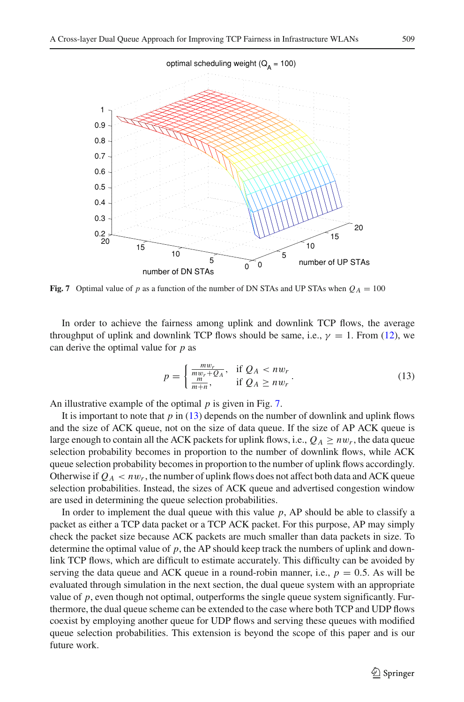

<span id="page-10-0"></span>**Fig. 7** Optimal value of *p* as a function of the number of DN STAs and UP STAs when  $Q_A = 100$ 

In order to achieve the fairness among uplink and downlink TCP flows, the average throughput of uplink and downlink TCP flows should be same, i.e.,  $\gamma = 1$ . From [\(12\)](#page-9-4), we can derive the optimal value for *p* as

$$
p = \begin{cases} \frac{mw_r}{mw + Q_A}, & \text{if } Q_A < nw_r\\ \frac{m}{m+n}, & \text{if } Q_A \ge nw_r \end{cases} \tag{13}
$$

<span id="page-10-1"></span>An illustrative example of the optimal *p* is given in Fig. [7.](#page-10-0)

It is important to note that  $p$  in [\(13\)](#page-10-1) depends on the number of downlink and uplink flows and the size of ACK queue, not on the size of data queue. If the size of AP ACK queue is large enough to contain all the ACK packets for uplink flows, i.e.,  $Q_A \geq n w_r$ , the data queue selection probability becomes in proportion to the number of downlink flows, while ACK queue selection probability becomes in proportion to the number of uplink flows accordingly. Otherwise if  $O_A < nw_r$ , the number of uplink flows does not affect both data and ACK queue selection probabilities. Instead, the sizes of ACK queue and advertised congestion window are used in determining the queue selection probabilities.

In order to implement the dual queue with this value  $p$ , AP should be able to classify a packet as either a TCP data packet or a TCP ACK packet. For this purpose, AP may simply check the packet size because ACK packets are much smaller than data packets in size. To determine the optimal value of  $p$ , the AP should keep track the numbers of uplink and downlink TCP flows, which are difficult to estimate accurately. This difficulty can be avoided by serving the data queue and ACK queue in a round-robin manner, i.e.,  $p = 0.5$ . As will be evaluated through simulation in the next section, the dual queue system with an appropriate value of  $p$ , even though not optimal, outperforms the single queue system significantly. Furthermore, the dual queue scheme can be extended to the case where both TCP and UDP flows coexist by employing another queue for UDP flows and serving these queues with modified queue selection probabilities. This extension is beyond the scope of this paper and is our future work.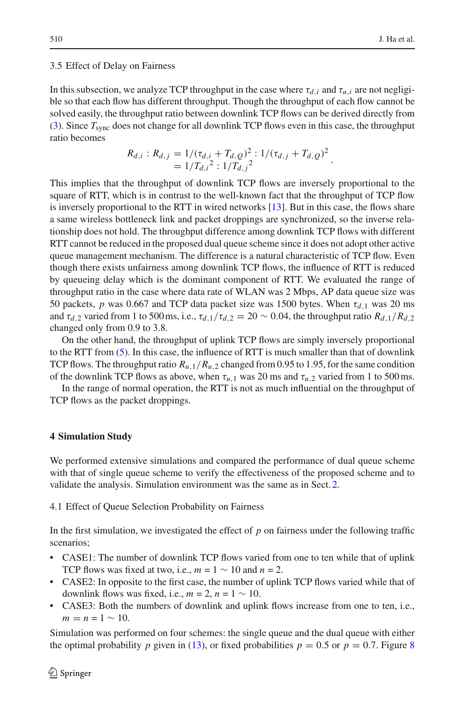#### 3.5 Effect of Delay on Fairness

In this subsection, we analyze TCP throughput in the case where  $\tau_{d,i}$  and  $\tau_{u,i}$  are not negligible so that each flow has different throughput. Though the throughput of each flow cannot be solved easily, the throughput ratio between downlink TCP flows can be derived directly from [\(3\)](#page-8-2). Since *T*sync does not change for all downlink TCP flows even in this case, the throughput ratio becomes

$$
R_{d,i}: R_{d,j} = 1/(\tau_{d,i} + T_{d,Q})^2 : 1/(\tau_{d,j} + T_{d,Q})^2
$$
  
=  $1/T_{d,i}^2 : 1/T_{d,j}^2$ 

This implies that the throughput of downlink TCP flows are inversely proportional to the square of RTT, which is in contrast to the well-known fact that the throughput of TCP flow is inversely proportional to the RTT in wired networks [\[13\]](#page-16-10). But in this case, the flows share a same wireless bottleneck link and packet droppings are synchronized, so the inverse relationship does not hold. The throughput difference among downlink TCP flows with different RTT cannot be reduced in the proposed dual queue scheme since it does not adopt other active queue management mechanism. The difference is a natural characteristic of TCP flow. Even though there exists unfairness among downlink TCP flows, the influence of RTT is reduced by queueing delay which is the dominant component of RTT. We evaluated the range of throughput ratio in the case where data rate of WLAN was 2 Mbps, AP data queue size was 50 packets, *p* was 0.667 and TCP data packet size was 1500 bytes. When  $\tau_{d,1}$  was 20 ms and  $\tau_{d,2}$  varied from 1 to 500 ms, i.e.,  $\tau_{d,1}/\tau_{d,2} = 20 \sim 0.04$ , the throughput ratio  $R_{d,1}/R_{d,2}$ changed only from 0.9 to 3.8.

On the other hand, the throughput of uplink TCP flows are simply inversely proportional to the RTT from  $(5)$ . In this case, the influence of RTT is much smaller than that of downlink TCP flows. The throughput ratio  $R_{u,1}/R_{u,2}$  changed from 0.95 to 1.95, for the same condition of the downlink TCP flows as above, when  $\tau_{u,1}$  was 20 ms and  $\tau_{u,2}$  varied from 1 to 500 ms.

In the range of normal operation, the RTT is not as much influential on the throughput of TCP flows as the packet droppings.

#### <span id="page-11-0"></span>**4 Simulation Study**

We performed extensive simulations and compared the performance of dual queue scheme with that of single queue scheme to verify the effectiveness of the proposed scheme and to validate the analysis. Simulation environment was the same as in Sect. [2.](#page-2-0)

4.1 Effect of Queue Selection Probability on Fairness

In the first simulation, we investigated the effect of *p* on fairness under the following traffic scenarios;

- CASE1: The number of downlink TCP flows varied from one to ten while that of uplink TCP flows was fixed at two, i.e.,  $m = 1 \sim 10$  and  $n = 2$ .
- CASE2: In opposite to the first case, the number of uplink TCP flows varied while that of downlink flows was fixed, i.e.,  $m = 2$ ,  $n = 1 \sim 10$ .
- CASE3: Both the numbers of downlink and uplink flows increase from one to ten, i.e.,  $m = n = 1 \sim 10$ .

Simulation was performed on four schemes: the single queue and the dual queue with either the optimal probability *p* given in [\(13\)](#page-10-1), or fixed probabilities  $p = 0.5$  or  $p = 0.7$ . Figure [8](#page-12-0)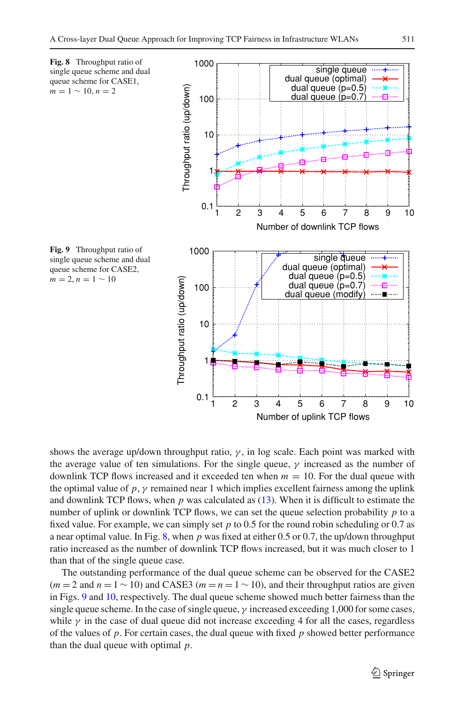<span id="page-12-0"></span>

<span id="page-12-1"></span>shows the average up/down throughput ratio,  $\gamma$ , in log scale. Each point was marked with the average value of ten simulations. For the single queue,  $\gamma$  increased as the number of downlink TCP flows increased and it exceeded ten when  $m = 10$ . For the dual queue with the optimal value of  $p, \gamma$  remained near 1 which implies excellent fairness among the uplink and downlink TCP flows, when  $p$  was calculated as  $(13)$ . When it is difficult to estimate the number of uplink or downlink TCP flows, we can set the queue selection probability *p* to a fixed value. For example, we can simply set *p* to 0.5 for the round robin scheduling or 0.7 as a near optimal value. In Fig. [8,](#page-12-0) when *p* was fixed at either 0.5 or 0.7, the up/down throughput ratio increased as the number of downlink TCP flows increased, but it was much closer to 1 than that of the single queue case.

The outstanding performance of the dual queue scheme can be observed for the CASE2  $(m = 2 \text{ and } n = 1 \sim 10)$  and CASE3  $(m = n = 1 \sim 10)$ , and their throughput ratios are given in Figs. [9](#page-12-1) and [10,](#page-13-0) respectively. The dual queue scheme showed much better fairness than the single queue scheme. In the case of single queue,  $\gamma$  increased exceeding 1,000 for some cases, while  $\gamma$  in the case of dual queue did not increase exceeding 4 for all the cases, regardless of the values of *p*. For certain cases, the dual queue with fixed *p* showed better performance than the dual queue with optimal *p*.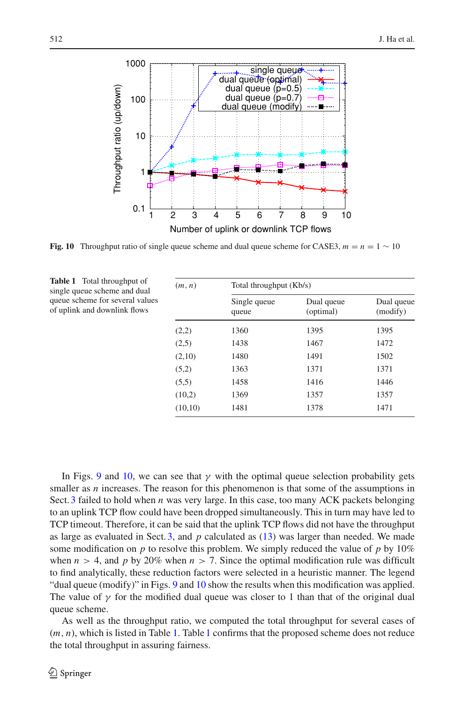

<span id="page-13-0"></span>**Fig. 10** Throughput ratio of single queue scheme and dual queue scheme for CASE3,  $m = n = 1 \sim 10$ 

<span id="page-13-1"></span>

| <b>Table 1</b> Total throughput of<br>single queue scheme and dual<br>queue scheme for several values<br>of uplink and downlink flows | (m, n)  | Total throughput (Kb/s) |                         |                        |
|---------------------------------------------------------------------------------------------------------------------------------------|---------|-------------------------|-------------------------|------------------------|
|                                                                                                                                       |         | Single queue<br>queue   | Dual queue<br>(optimal) | Dual queue<br>(modify) |
|                                                                                                                                       | (2,2)   | 1360                    | 1395                    | 1395                   |
|                                                                                                                                       | (2,5)   | 1438                    | 1467                    | 1472                   |
|                                                                                                                                       | (2,10)  | 1480                    | 1491                    | 1502                   |
|                                                                                                                                       | (5,2)   | 1363                    | 1371                    | 1371                   |
|                                                                                                                                       | (5,5)   | 1458                    | 1416                    | 1446                   |
|                                                                                                                                       | (10,2)  | 1369                    | 1357                    | 1357                   |
|                                                                                                                                       | (10,10) | 1481                    | 1378                    | 1471                   |
|                                                                                                                                       |         |                         |                         |                        |

In Figs. [9](#page-12-1) and [10,](#page-13-0) we can see that  $\gamma$  with the optimal queue selection probability gets smaller as *n* increases. The reason for this phenomenon is that some of the assumptions in Sect. [3](#page-4-0) failed to hold when *n* was very large. In this case, too many ACK packets belonging to an uplink TCP flow could have been dropped simultaneously. This in turn may have led to TCP timeout. Therefore, it can be said that the uplink TCP flows did not have the throughput as large as evaluated in Sect.  $3$ , and  $p$  calculated as  $(13)$  was larger than needed. We made some modification on  $p$  to resolve this problem. We simply reduced the value of  $p$  by 10% when  $n > 4$ , and p by 20% when  $n > 7$ . Since the optimal modification rule was difficult to find analytically, these reduction factors were selected in a heuristic manner. The legend "dual queue (modify)" in Figs. [9](#page-12-1) and [10](#page-13-0) show the results when this modification was applied. The value of  $\gamma$  for the modified dual queue was closer to 1 than that of the original dual queue scheme.

As well as the throughput ratio, we computed the total throughput for several cases of  $(m, n)$ , which is listed in Table [1.](#page-13-1) Table [1](#page-13-1) confirms that the proposed scheme does not reduce the total throughput in assuring fairness.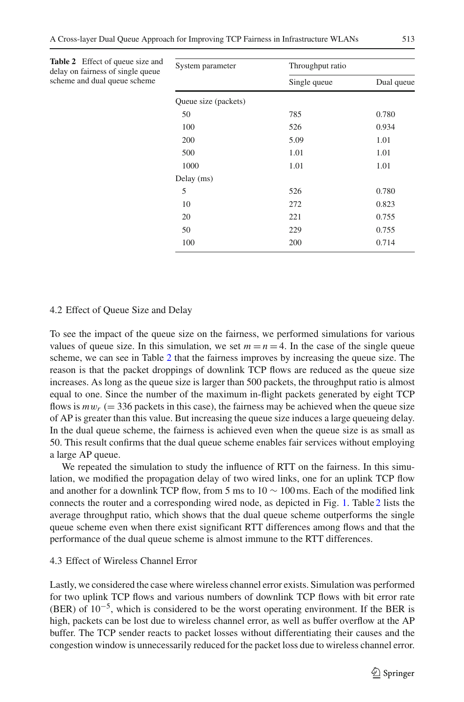<span id="page-14-0"></span>

| <b>Table 2</b> Effect of queue size and<br>delay on fairness of single queue<br>scheme and dual queue scheme | System parameter     | Throughput ratio |            |
|--------------------------------------------------------------------------------------------------------------|----------------------|------------------|------------|
|                                                                                                              |                      | Single queue     | Dual queue |
|                                                                                                              | Queue size (packets) |                  |            |
|                                                                                                              | 50                   | 785              | 0.780      |
|                                                                                                              | 100                  | 526              | 0.934      |
|                                                                                                              | 200                  | 5.09             | 1.01       |
|                                                                                                              | 500                  | 1.01             | 1.01       |
|                                                                                                              | 1000                 | 1.01             | 1.01       |
|                                                                                                              | Delay (ms)           |                  |            |
|                                                                                                              | 5                    | 526              | 0.780      |
|                                                                                                              | 10                   | 272              | 0.823      |
|                                                                                                              | 20                   | 221              | 0.755      |
|                                                                                                              | 50                   | 229              | 0.755      |
|                                                                                                              | 100                  | 200              | 0.714      |

## 4.2 Effect of Queue Size and Delay

To see the impact of the queue size on the fairness, we performed simulations for various values of queue size. In this simulation, we set  $m = n = 4$ . In the case of the single queue scheme, we can see in Table [2](#page-14-0) that the fairness improves by increasing the queue size. The reason is that the packet droppings of downlink TCP flows are reduced as the queue size increases. As long as the queue size is larger than 500 packets, the throughput ratio is almost equal to one. Since the number of the maximum in-flight packets generated by eight TCP flows is  $mw_r$  (= 336 packets in this case), the fairness may be achieved when the queue size of AP is greater than this value. But increasing the queue size induces a large queueing delay. In the dual queue scheme, the fairness is achieved even when the queue size is as small as 50. This result confirms that the dual queue scheme enables fair services without employing a large AP queue.

We repeated the simulation to study the influence of RTT on the fairness. In this simulation, we modified the propagation delay of two wired links, one for an uplink TCP flow and another for a downlink TCP flow, from 5 ms to  $10 \sim 100$  ms. Each of the modified link connects the router and a corresponding wired node, as depicted in Fig. [1.](#page-3-0) Table [2](#page-14-0) lists the average throughput ratio, which shows that the dual queue scheme outperforms the single queue scheme even when there exist significant RTT differences among flows and that the performance of the dual queue scheme is almost immune to the RTT differences.

# 4.3 Effect of Wireless Channel Error

Lastly, we considered the case where wireless channel error exists. Simulation was performed for two uplink TCP flows and various numbers of downlink TCP flows with bit error rate (BER) of  $10^{-5}$ , which is considered to be the worst operating environment. If the BER is high, packets can be lost due to wireless channel error, as well as buffer overflow at the AP buffer. The TCP sender reacts to packet losses without differentiating their causes and the congestion window is unnecessarily reduced for the packet loss due to wireless channel error.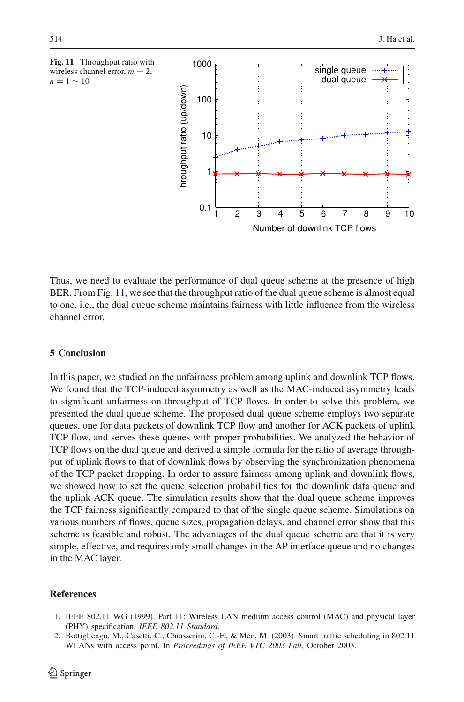

Thus, we need to evaluate the performance of dual queue scheme at the presence of high BER. From Fig. [11,](#page-15-3) we see that the throughput ratio of the dual queue scheme is almost equal to one, i.e., the dual queue scheme maintains fairness with little influence from the wireless channel error.

# <span id="page-15-2"></span>**5 Conclusion**

In this paper, we studied on the unfairness problem among uplink and downlink TCP flows. We found that the TCP-induced asymmetry as well as the MAC-induced asymmetry leads to significant unfairness on throughput of TCP flows. In order to solve this problem, we presented the dual queue scheme. The proposed dual queue scheme employs two separate queues, one for data packets of downlink TCP flow and another for ACK packets of uplink TCP flow, and serves these queues with proper probabilities. We analyzed the behavior of TCP flows on the dual queue and derived a simple formula for the ratio of average throughput of uplink flows to that of downlink flows by observing the synchronization phenomena of the TCP packet dropping. In order to assure fairness among uplink and downlink flows, we showed how to set the queue selection probabilities for the downlink data queue and the uplink ACK queue. The simulation results show that the dual queue scheme improves the TCP fairness significantly compared to that of the single queue scheme. Simulations on various numbers of flows, queue sizes, propagation delays, and channel error show that this scheme is feasible and robust. The advantages of the dual queue scheme are that it is very simple, effective, and requires only small changes in the AP interface queue and no changes in the MAC layer.

## <span id="page-15-0"></span>**References**

- 1. IEEE 802.11 WG (1999). Part 11: Wireless LAN medium access control (MAC) and physical layer (PHY) specification. *IEEE 802.11 Standard*.
- <span id="page-15-1"></span>2. Bottigliengo, M., Casetti, C., Chiasserini, C.-F., & Meo, M. (2003). Smart traffic scheduling in 802.11 WLANs with access point. In *Proceedings of IEEE VTC 2003 Fall*, October 2003.

<span id="page-15-3"></span> $n = 1 \sim 10$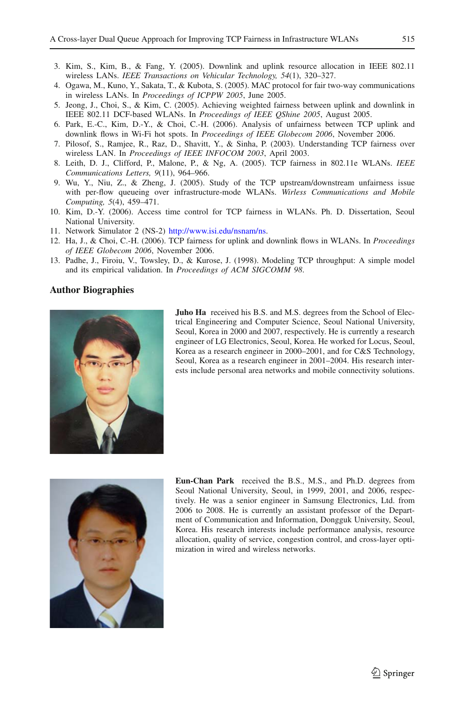- <span id="page-16-1"></span>3. Kim, S., Kim, B., & Fang, Y. (2005). Downlink and uplink resource allocation in IEEE 802.11 wireless LANs. *IEEE Transactions on Vehicular Technology, 54*(1), 320–327.
- <span id="page-16-2"></span>4. Ogawa, M., Kuno, Y., Sakata, T., & Kubota, S. (2005). MAC protocol for fair two-way communications in wireless LANs. In *Proceedings of ICPPW 2005*, June 2005.
- <span id="page-16-0"></span>5. Jeong, J., Choi, S., & Kim, C. (2005). Achieving weighted fairness between uplink and downlink in IEEE 802.11 DCF-based WLANs. In *Proceedings of IEEE QShine 2005*, August 2005.
- <span id="page-16-3"></span>6. Park, E.-C., Kim, D.-Y., & Choi, C.-H. (2006). Analysis of unfairness between TCP uplink and downlink flows in Wi-Fi hot spots. In *Proceedings of IEEE Globecom 2006*, November 2006.
- <span id="page-16-5"></span>7. Pilosof, S., Ramjee, R., Raz, D., Shavitt, Y., & Sinha, P. (2003). Understanding TCP fairness over wireless LAN. In *Proceedings of IEEE INFOCOM 2003*, April 2003.
- <span id="page-16-6"></span>8. Leith, D. J., Clifford, P., Malone, P., & Ng, A. (2005). TCP fairness in 802.11e WLANs. *IEEE Communications Letters, 9*(11), 964–966.
- <span id="page-16-7"></span>9. Wu, Y., Niu, Z., & Zheng, J. (2005). Study of the TCP upstream/downstream unfairness issue with per-flow queueing over infrastructure-mode WLANs. *Wirless Communications and Mobile Computing, 5*(4), 459–471.
- <span id="page-16-4"></span>10. Kim, D.-Y. (2006). Access time control for TCP fairness in WLANs. Ph. D. Dissertation, Seoul National University.
- <span id="page-16-8"></span>11. Network Simulator 2 (NS-2) [http://www.isi.edu/nsnam/ns.](http://www.isi.edu/nsnam/ns)
- <span id="page-16-9"></span>12. Ha, J., & Choi, C.-H. (2006). TCP fairness for uplink and downlink flows in WLANs. In *Proceedings of IEEE Globecom 2006*, November 2006.
- <span id="page-16-10"></span>13. Padhe, J., Firoiu, V., Towsley, D., & Kurose, J. (1998). Modeling TCP throughput: A simple model and its empirical validation. In *Proceedings of ACM SIGCOMM 98*.

#### **Author Biographies**



**Juho Ha** received his B.S. and M.S. degrees from the School of Electrical Engineering and Computer Science, Seoul National University, Seoul, Korea in 2000 and 2007, respectively. He is currently a research engineer of LG Electronics, Seoul, Korea. He worked for Locus, Seoul, Korea as a research engineer in 2000–2001, and for C&S Technology, Seoul, Korea as a research engineer in 2001–2004. His research interests include personal area networks and mobile connectivity solutions.



**Eun-Chan Park** received the B.S., M.S., and Ph.D. degrees from Seoul National University, Seoul, in 1999, 2001, and 2006, respectively. He was a senior engineer in Samsung Electronics, Ltd. from 2006 to 2008. He is currently an assistant professor of the Department of Communication and Information, Dongguk University, Seoul, Korea. His research interests include performance analysis, resource allocation, quality of service, congestion control, and cross-layer optimization in wired and wireless networks.